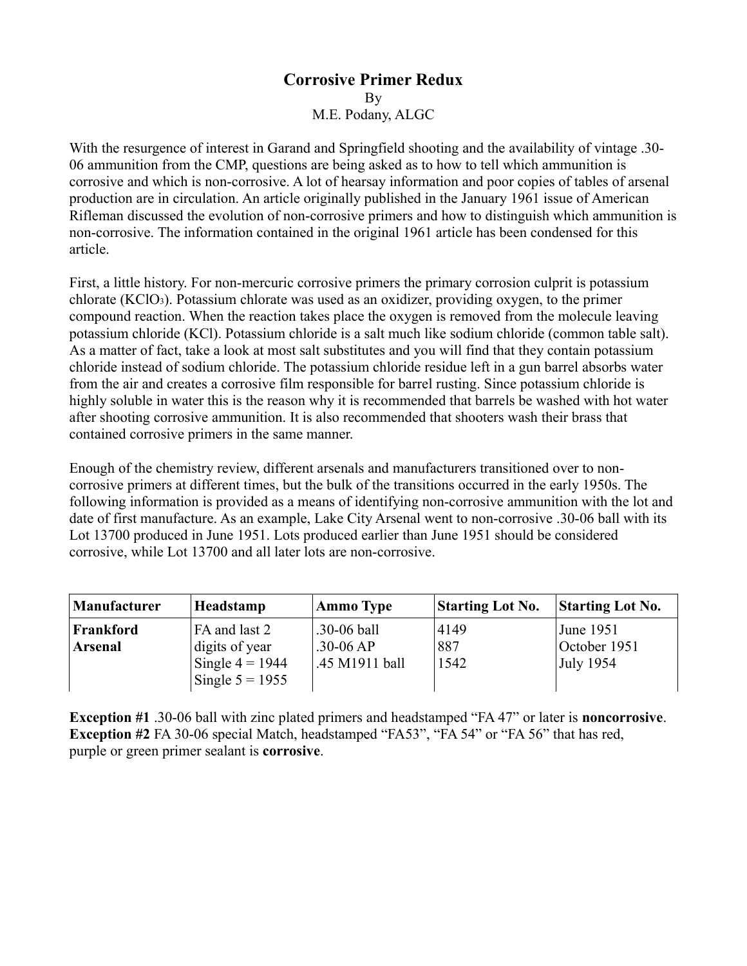## **Corrosive Primer Redux** By M.E. Podany, ALGC

With the resurgence of interest in Garand and Springfield shooting and the availability of vintage .30- 06 ammunition from the CMP, questions are being asked as to how to tell which ammunition is corrosive and which is non-corrosive. A lot of hearsay information and poor copies of tables of arsenal production are in circulation. An article originally published in the January 1961 issue of American Rifleman discussed the evolution of non-corrosive primers and how to distinguish which ammunition is non-corrosive. The information contained in the original 1961 article has been condensed for this article.

First, a little history. For non-mercuric corrosive primers the primary corrosion culprit is potassium chlorate (KClO3). Potassium chlorate was used as an oxidizer, providing oxygen, to the primer compound reaction. When the reaction takes place the oxygen is removed from the molecule leaving potassium chloride (KCl). Potassium chloride is a salt much like sodium chloride (common table salt). As a matter of fact, take a look at most salt substitutes and you will find that they contain potassium chloride instead of sodium chloride. The potassium chloride residue left in a gun barrel absorbs water from the air and creates a corrosive film responsible for barrel rusting. Since potassium chloride is highly soluble in water this is the reason why it is recommended that barrels be washed with hot water after shooting corrosive ammunition. It is also recommended that shooters wash their brass that contained corrosive primers in the same manner.

Enough of the chemistry review, different arsenals and manufacturers transitioned over to noncorrosive primers at different times, but the bulk of the transitions occurred in the early 1950s. The following information is provided as a means of identifying non-corrosive ammunition with the lot and date of first manufacture. As an example, Lake City Arsenal went to non-corrosive .30-06 ball with its Lot 13700 produced in June 1951. Lots produced earlier than June 1951 should be considered corrosive, while Lot 13700 and all later lots are non-corrosive.

| Manufacturer   | Headstamp         | <b>Ammo Type</b> | <b>Starting Lot No.</b> | <b>Starting Lot No.</b> |
|----------------|-------------------|------------------|-------------------------|-------------------------|
| Frankford      | FA and last 2     | $.30 - 06$ ball  | 4149                    | June 1951               |
| <b>Arsenal</b> | digits of year    | $.30 - 06 AP$    | 887                     | October 1951            |
|                | Single $4 = 1944$ | .45 M1911 ball   | 1542                    | July 1954               |
|                | Single $5 = 1955$ |                  |                         |                         |

**Exception #1** .30-06 ball with zinc plated primers and headstamped "FA 47" or later is **noncorrosive**. **Exception #2** FA 30-06 special Match, headstamped "FA53", "FA 54" or "FA 56" that has red, purple or green primer sealant is **corrosive**.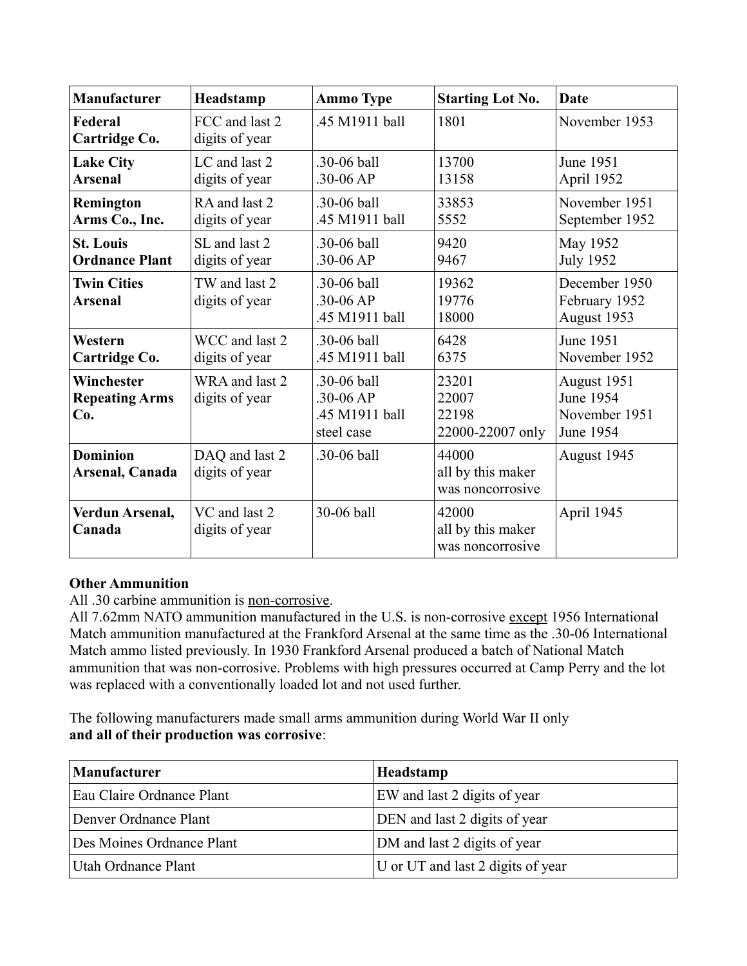| <b>Manufacturer</b>                        | Headstamp                        | <b>Ammo Type</b>                                         | <b>Starting Lot No.</b>                        | <b>Date</b>                                                   |
|--------------------------------------------|----------------------------------|----------------------------------------------------------|------------------------------------------------|---------------------------------------------------------------|
| Federal<br>Cartridge Co.                   | FCC and last 2<br>digits of year | .45 M1911 ball                                           | 1801                                           | November 1953                                                 |
| <b>Lake City</b><br><b>Arsenal</b>         | LC and last 2<br>digits of year  | .30-06 ball<br>$.30 - 06 AP$                             | 13700<br>13158                                 | June 1951<br>April 1952                                       |
| Remington<br>Arms Co., Inc.                | RA and last 2<br>digits of year  | .30-06 ball<br>.45 M1911 ball                            | 33853<br>5552                                  | November 1951<br>September 1952                               |
| <b>St. Louis</b><br><b>Ordnance Plant</b>  | SL and last 2<br>digits of year  | .30-06 ball<br>$.30 - 06 AP$                             | 9420<br>9467                                   | May 1952<br><b>July 1952</b>                                  |
| <b>Twin Cities</b><br><b>Arsenal</b>       | TW and last 2<br>digits of year  | .30-06 ball<br>.30-06 AP<br>.45 M1911 ball               | 19362<br>19776<br>18000                        | December 1950<br>February 1952<br>August 1953                 |
| Western<br>Cartridge Co.                   | WCC and last 2<br>digits of year | .30-06 ball<br>.45 M1911 ball                            | 6428<br>6375                                   | June 1951<br>November 1952                                    |
| Winchester<br><b>Repeating Arms</b><br>Co. | WRA and last 2<br>digits of year | .30-06 ball<br>.30-06 AP<br>.45 M1911 ball<br>steel case | 23201<br>22007<br>22198<br>22000-22007 only    | August 1951<br><b>June 1954</b><br>November 1951<br>June 1954 |
| <b>Dominion</b><br>Arsenal, Canada         | DAQ and last 2<br>digits of year | .30-06 ball                                              | 44000<br>all by this maker<br>was noncorrosive | August 1945                                                   |
| Verdun Arsenal,<br>Canada                  | VC and last 2<br>digits of year  | 30-06 ball                                               | 42000<br>all by this maker<br>was noncorrosive | April 1945                                                    |

## **Other Ammunition**

All .30 carbine ammunition is non-corrosive.

All 7.62mm NATO ammunition manufactured in the U.S. is non-corrosive except 1956 International Match ammunition manufactured at the Frankford Arsenal at the same time as the .30-06 International Match ammo listed previously. In 1930 Frankford Arsenal produced a batch of National Match ammunition that was non-corrosive. Problems with high pressures occurred at Camp Perry and the lot was replaced with a conventionally loaded lot and not used further.

The following manufacturers made small arms ammunition during World War II only **and all of their production was corrosive**:

| <b>Manufacturer</b>       | Headstamp                         |  |  |
|---------------------------|-----------------------------------|--|--|
| Eau Claire Ordnance Plant | EW and last 2 digits of year      |  |  |
| Denver Ordnance Plant     | DEN and last 2 digits of year     |  |  |
| Des Moines Ordnance Plant | DM and last 2 digits of year      |  |  |
| Utah Ordnance Plant       | U or UT and last 2 digits of year |  |  |